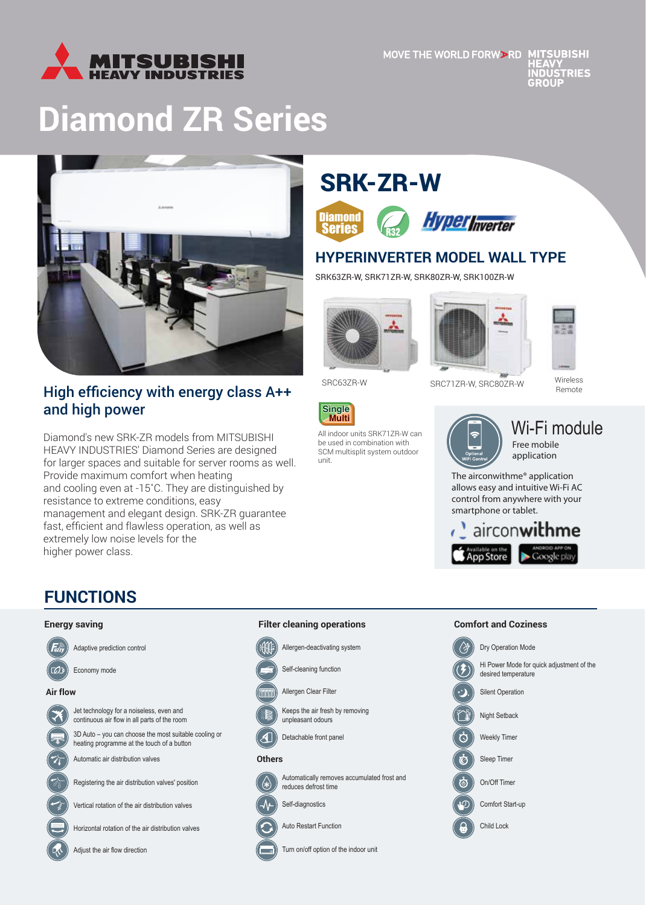

# **Diamond ZR Series**



# High efficiency with energy class A++ and high power

Diamond's new SRK-ZR models from MITSUBISHI HEAVY INDUSTRIES' Diamond Series are designed for larger spaces and suitable for server rooms as well. Provide maximum comfort when heating and cooling even at -15˚C. They are distinguished by resistance to extreme conditions, easy management and elegant design. SRK-ZR guarantee fast, efficient and flawless operation, as well as extremely low noise levels for the higher power class.

# SRK-ZR-W





### **HYPERINVERTER MODEL WALL TYPE**

SRK63ZR-W, SRK71ZR-W, SRK80ZR-W, SRK100ZR-W



All indoor units SRK71ZR-W can be used in combination with SCM multisplit system outdoor

**Single Multi**

unit.





SRC63ZR-W SRC717R-W, SRC807R-W

Wireless Remote

Wi-Fi module Free mobile application

The airconwithme® application allows easy and intuitive Wi-Fi AC control from anywhere with your smartphone or tablet.



# **FUNCTIONS**

#### **Energy saving**



Adaptive prediction control

**Air flow**



Jet technology for a noiseless, even and continuous air flow in all parts of the room

3D Auto – you can choose the most suitable cooling or heating programme at the touch of a button

Automatic air distribution valves

Registering the air distribution valves' position

Vertical rotation of the air distribution valves

Horizontal rotation of the air distribution valves

Adjust the air flow direction

## **Filter cleaning operations**



Self-cleaning function

Allergen Clear Filter

Keeps the air fresh by removing unpleasant odours

Detachable front panel

### $\mathcal{A}$ **Оthers**



reduces defrost time Self-diagnostics

Auto Restart Function

Turn on/off option of the indoor unit

Automatically removes accumulated frost and

#### **Comfort and Coziness**